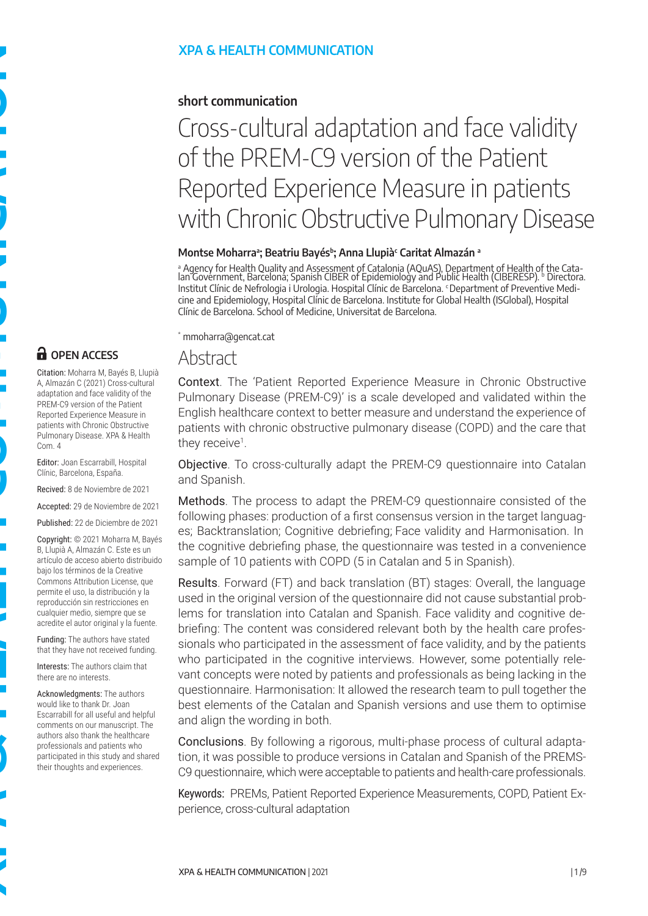**n** OPEN ACCESS

Com. 4

Citation: Moharra M, Bayés B, Llupià A, Almazán C (2021) Cross-cultural adaptation and face validity of the PREM-C9 version of the Patient Reported Experience Measure in patients with Chronic Obstructive Pulmonary Disease. XPA & Health

Editor: Joan Escarrabill, Hospital Clínic, Barcelona, España. Recived: 8 de Noviembre de 2021 Accepted: 29 de Noviembre de 2021 Published: 22 de Diciembre de 2021 Copyright: © 2021 Moharra M, Bayés B, Llupià A, Almazán C. Este es un artículo de acceso abierto distribuido bajo los términos de la Creative Commons Attribution License, que permite el uso, la distribución y la reproducción sin restricciones en cualquier medio, siempre que se acredite el autor original y la fuente. Funding: The authors have stated that they have not received funding. Interests: The authors claim that there are no interests.

Acknowledgments: The authors would like to thank Dr. Joan Escarrabill for all useful and helpful comments on our manuscript. The authors also thank the healthcare professionals and patients who participated in this study and shared their thoughts and experiences.

#### **XPA & HEALTH COMMUNICATION**

#### **short communication**

# Cross-cultural adaptation and face validity of the PREM-C9 version of the Patient Reported Experience Measure in patients with Chronic Obstructive Pulmonary Disease

#### **Montse Moharra<sup>a</sup> ; Beatriu Bayés<sup>b</sup> ; Anna Llupià<sup>c</sup> Caritat Almazán <sup>a</sup>**

a Agency for Health Quality and Assessment of Catalonia (AQuAS), Department of Health of the Cata-lan Government, Barcelona; Spanish CIBER of Epidemiology and Public Health (CIBERESP). b Directora. Institut Clínic de Nefrologia i Urologia. Hospital Clínic de Barcelona. c Department of Preventive Medicine and Epidemiology, Hospital Clínic de Barcelona. Institute for Global Health (ISGlobal), Hospital Clínic de Barcelona. School of Medicine, Universitat de Barcelona.

\* mmoharra@gencat.cat

#### **Abstract**

Context. The 'Patient Reported Experience Measure in Chronic Obstructive Pulmonary Disease (PREM-C9)' is a scale developed and validated within the English healthcare context to better measure and understand the experience of patients with chronic obstructive pulmonary disease (COPD) and the care that they receive<sup>1</sup>.

Objective. To cross-culturally adapt the PREM-C9 questionnaire into Catalan and Spanish.

Methods. The process to adapt the PREM-C9 questionnaire consisted of the following phases: production of a first consensus version in the target languages; Backtranslation; Cognitive debriefing; Face validity and Harmonisation. In the cognitive debriefing phase, the questionnaire was tested in a convenience sample of 10 patients with COPD (5 in Catalan and 5 in Spanish).

Results. Forward (FT) and back translation (BT) stages: Overall, the language used in the original version of the questionnaire did not cause substantial problems for translation into Catalan and Spanish. Face validity and cognitive debriefing: The content was considered relevant both by the health care professionals who participated in the assessment of face validity, and by the patients who participated in the cognitive interviews. However, some potentially relevant concepts were noted by patients and professionals as being lacking in the questionnaire. Harmonisation: It allowed the research team to pull together the best elements of the Catalan and Spanish versions and use them to optimise and align the wording in both.

Conclusions. By following a rigorous, multi-phase process of cultural adaptation, it was possible to produce versions in Catalan and Spanish of the PREMS-C9 questionnaire, which were acceptable to patients and health-care professionals.

Keywords: PREMs, Patient Reported Experience Measurements, COPD, Patient Experience, cross-cultural adaptation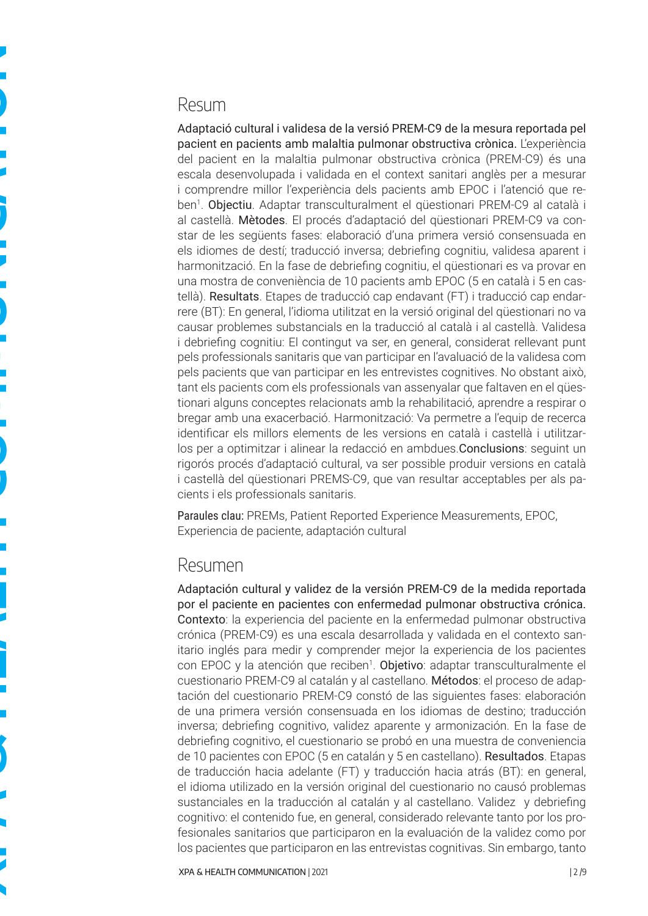## Resum

Adaptació cultural i validesa de la versió PREM-C9 de la mesura reportada pel pacient en pacients amb malaltia pulmonar obstructiva crònica. L'experiència del pacient en la malaltia pulmonar obstructiva crònica (PREM-C9) és una escala desenvolupada i validada en el context sanitari anglès per a mesurar i comprendre millor l'experiència dels pacients amb EPOC i l'atenció que reben<sup>1</sup>. Objectiu. Adaptar transculturalment el qüestionari PREM-C9 al català i al castellà. Mètodes. El procés d'adaptació del qüestionari PREM-C9 va constar de les següents fases: elaboració d'una primera versió consensuada en els idiomes de destí; traducció inversa; debriefing cognitiu, validesa aparent i harmonització. En la fase de debriefing cognitiu, el qüestionari es va provar en una mostra de conveniència de 10 pacients amb EPOC (5 en català i 5 en castellà). Resultats. Etapes de traducció cap endavant (FT) i traducció cap endarrere (BT): En general, l'idioma utilitzat en la versió original del qüestionari no va causar problemes substancials en la traducció al català i al castellà. Validesa i debriefing cognitiu: El contingut va ser, en general, considerat rellevant punt pels professionals sanitaris que van participar en l'avaluació de la validesa com pels pacients que van participar en les entrevistes cognitives. No obstant això, tant els pacients com els professionals van assenyalar que faltaven en el qüestionari alguns conceptes relacionats amb la rehabilitació, aprendre a respirar o bregar amb una exacerbació. Harmonització: Va permetre a l'equip de recerca identificar els millors elements de les versions en català i castellà i utilitzarlos per a optimitzar i alinear la redacció en ambdues.Conclusions: seguint un rigorós procés d'adaptació cultural, va ser possible produir versions en català i castellà del qüestionari PREMS-C9, que van resultar acceptables per als pacients i els professionals sanitaris.

Paraules clau: PREMs, Patient Reported Experience Measurements, EPOC, Experiencia de paciente, adaptación cultural

#### Resumen

Adaptación cultural y validez de la versión PREM-C9 de la medida reportada por el paciente en pacientes con enfermedad pulmonar obstructiva crónica. Contexto: la experiencia del paciente en la enfermedad pulmonar obstructiva crónica (PREM-C9) es una escala desarrollada y validada en el contexto sanitario inglés para medir y comprender mejor la experiencia de los pacientes con EPOC y la atención que reciben<sup>1</sup>. Objetivo: adaptar transculturalmente el cuestionario PREM-C9 al catalán y al castellano. Métodos: el proceso de adaptación del cuestionario PREM-C9 constó de las siguientes fases: elaboración de una primera versión consensuada en los idiomas de destino; traducción inversa; debriefing cognitivo, validez aparente y armonización. En la fase de debriefing cognitivo, el cuestionario se probó en una muestra de conveniencia de 10 pacientes con EPOC (5 en catalán y 5 en castellano). Resultados. Etapas de traducción hacia adelante (FT) y traducción hacia atrás (BT): en general, el idioma utilizado en la versión original del cuestionario no causó problemas sustanciales en la traducción al catalán y al castellano. Validez y debriefing cognitivo: el contenido fue, en general, considerado relevante tanto por los profesionales sanitarios que participaron en la evaluación de la validez como por los pacientes que participaron en las entrevistas cognitivas. Sin embargo, tanto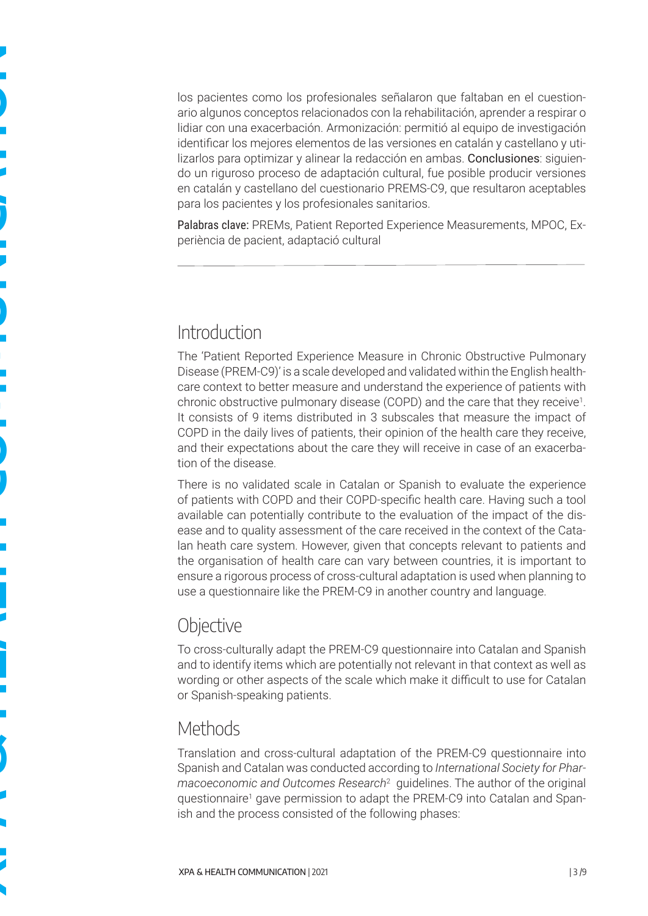los pacientes como los profesionales señalaron que faltaban en el cuestionario algunos conceptos relacionados con la rehabilitación, aprender a respirar o lidiar con una exacerbación. Armonización: permitió al equipo de investigación identificar los mejores elementos de las versiones en catalán y castellano y utilizarlos para optimizar y alinear la redacción en ambas. Conclusiones: siguiendo un riguroso proceso de adaptación cultural, fue posible producir versiones en catalán y castellano del cuestionario PREMS-C9, que resultaron aceptables para los pacientes y los profesionales sanitarios.

Palabras clave: PREMs, Patient Reported Experience Measurements, MPOC, Experiència de pacient, adaptació cultural

## **Introduction**

The 'Patient Reported Experience Measure in Chronic Obstructive Pulmonary Disease (PREM-C9)' is a scale developed and validated within the English healthcare context to better measure and understand the experience of patients with chronic obstructive pulmonary disease (COPD) and the care that they receive<sup>1</sup>. It consists of 9 items distributed in 3 subscales that measure the impact of COPD in the daily lives of patients, their opinion of the health care they receive, and their expectations about the care they will receive in case of an exacerbation of the disease.

There is no validated scale in Catalan or Spanish to evaluate the experience of patients with COPD and their COPD-specific health care. Having such a tool available can potentially contribute to the evaluation of the impact of the disease and to quality assessment of the care received in the context of the Catalan heath care system. However, given that concepts relevant to patients and the organisation of health care can vary between countries, it is important to ensure a rigorous process of cross-cultural adaptation is used when planning to use a questionnaire like the PREM-C9 in another country and language.

## **Objective**

To cross-culturally adapt the PREM-C9 questionnaire into Catalan and Spanish and to identify items which are potentially not relevant in that context as well as wording or other aspects of the scale which make it difficult to use for Catalan or Spanish-speaking patients.

## Methods

Translation and cross-cultural adaptation of the PREM-C9 questionnaire into Spanish and Catalan was conducted according to *International Society for Pharmacoeconomic and Outcomes Research*<sup>2</sup> guidelines. The author of the original questionnaire<sup>1</sup> gave permission to adapt the PREM-C9 into Catalan and Spanish and the process consisted of the following phases: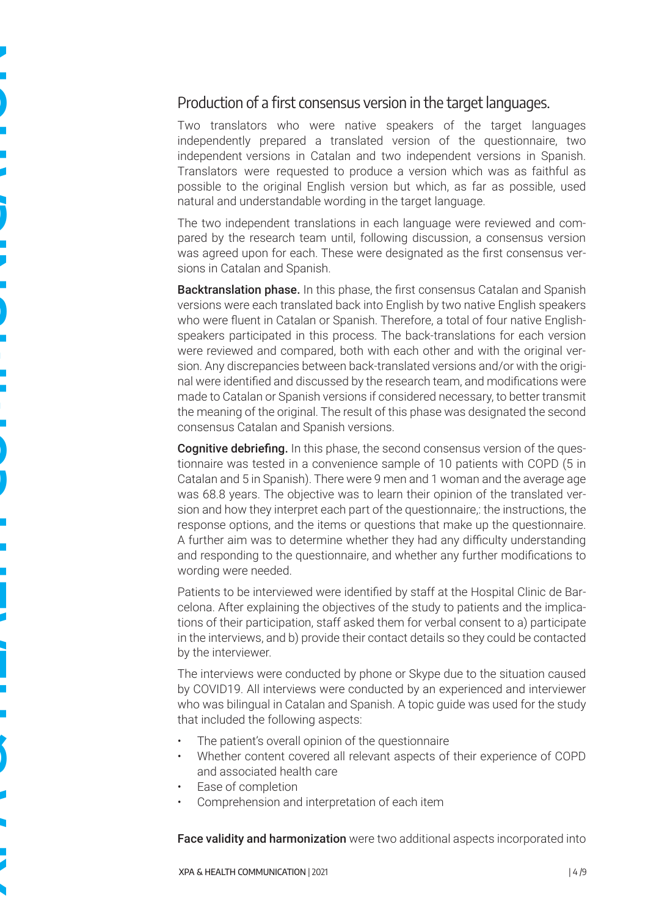#### Production of a first consensus version in the target languages.

Two translators who were native speakers of the target languages independently prepared a translated version of the questionnaire, two independent versions in Catalan and two independent versions in Spanish. Translators were requested to produce a version which was as faithful as possible to the original English version but which, as far as possible, used natural and understandable wording in the target language.

The two independent translations in each language were reviewed and compared by the research team until, following discussion, a consensus version was agreed upon for each. These were designated as the first consensus versions in Catalan and Spanish.

Backtranslation phase. In this phase, the first consensus Catalan and Spanish versions were each translated back into English by two native English speakers who were fluent in Catalan or Spanish. Therefore, a total of four native Englishspeakers participated in this process. The back-translations for each version were reviewed and compared, both with each other and with the original version. Any discrepancies between back-translated versions and/or with the original were identified and discussed by the research team, and modifications were made to Catalan or Spanish versions if considered necessary, to better transmit the meaning of the original. The result of this phase was designated the second consensus Catalan and Spanish versions.

**Cognitive debriefing.** In this phase, the second consensus version of the questionnaire was tested in a convenience sample of 10 patients with COPD (5 in Catalan and 5 in Spanish). There were 9 men and 1 woman and the average age was 68.8 years. The objective was to learn their opinion of the translated version and how they interpret each part of the questionnaire,: the instructions, the response options, and the items or questions that make up the questionnaire. A further aim was to determine whether they had any difficulty understanding and responding to the questionnaire, and whether any further modifications to wording were needed.

Patients to be interviewed were identified by staff at the Hospital Clinic de Barcelona. After explaining the objectives of the study to patients and the implications of their participation, staff asked them for verbal consent to a) participate in the interviews, and b) provide their contact details so they could be contacted by the interviewer.

The interviews were conducted by phone or Skype due to the situation caused by COVID19. All interviews were conducted by an experienced and interviewer who was bilingual in Catalan and Spanish. A topic guide was used for the study that included the following aspects:

- The patient's overall opinion of the questionnaire
- Whether content covered all relevant aspects of their experience of COPD and associated health care
- Ease of completion
- Comprehension and interpretation of each item

Face validity and harmonization were two additional aspects incorporated into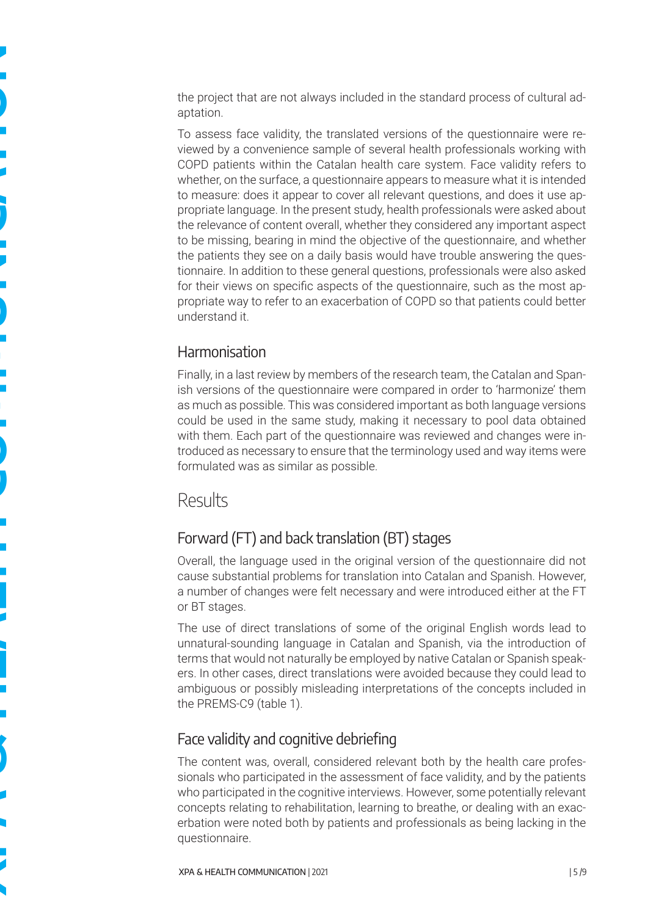the project that are not always included in the standard process of cultural adaptation.

To assess face validity, the translated versions of the questionnaire were reviewed by a convenience sample of several health professionals working with COPD patients within the Catalan health care system. Face validity refers to whether, on the surface, a questionnaire appears to measure what it is intended to measure: does it appear to cover all relevant questions, and does it use appropriate language. In the present study, health professionals were asked about the relevance of content overall, whether they considered any important aspect to be missing, bearing in mind the objective of the questionnaire, and whether the patients they see on a daily basis would have trouble answering the questionnaire. In addition to these general questions, professionals were also asked for their views on specific aspects of the questionnaire, such as the most appropriate way to refer to an exacerbation of COPD so that patients could better understand it.

### Harmonisation

Finally, in a last review by members of the research team, the Catalan and Spanish versions of the questionnaire were compared in order to 'harmonize' them as much as possible. This was considered important as both language versions could be used in the same study, making it necessary to pool data obtained with them. Each part of the questionnaire was reviewed and changes were introduced as necessary to ensure that the terminology used and way items were formulated was as similar as possible.

## Results

## Forward (FT) and back translation (BT) stages

Overall, the language used in the original version of the questionnaire did not cause substantial problems for translation into Catalan and Spanish. However, a number of changes were felt necessary and were introduced either at the FT or BT stages.

The use of direct translations of some of the original English words lead to unnatural-sounding language in Catalan and Spanish, via the introduction of terms that would not naturally be employed by native Catalan or Spanish speakers. In other cases, direct translations were avoided because they could lead to ambiguous or possibly misleading interpretations of the concepts included in the PREMS-C9 (table 1).

## Face validity and cognitive debriefing

The content was, overall, considered relevant both by the health care professionals who participated in the assessment of face validity, and by the patients who participated in the cognitive interviews. However, some potentially relevant concepts relating to rehabilitation, learning to breathe, or dealing with an exacerbation were noted both by patients and professionals as being lacking in the questionnaire.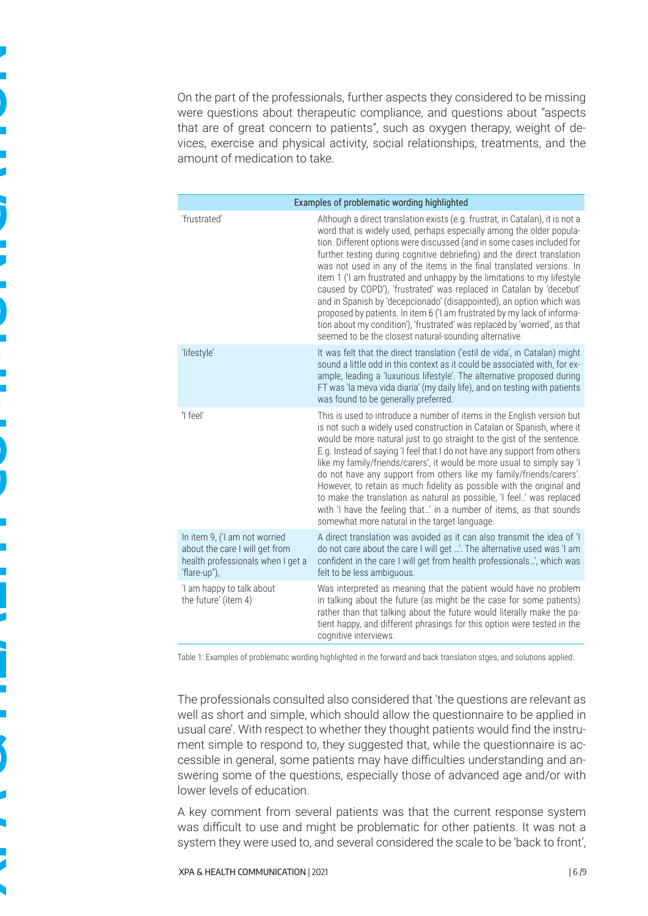On the part of the professionals, further aspects they considered to be missing were questions about therapeutic compliance, and questions about "aspects that are of great concern to patients", such as oxygen therapy, weight of devices, exercise and physical activity, social relationships, treatments, and the amount of medication to take.

| Examples of problematic wording highlighted                                                                          |                                                                                                                                                                                                                                                                                                                                                                                                                                                                                                                                                                                                                                                                                                                                                                                                                                   |  |  |  |  |  |
|----------------------------------------------------------------------------------------------------------------------|-----------------------------------------------------------------------------------------------------------------------------------------------------------------------------------------------------------------------------------------------------------------------------------------------------------------------------------------------------------------------------------------------------------------------------------------------------------------------------------------------------------------------------------------------------------------------------------------------------------------------------------------------------------------------------------------------------------------------------------------------------------------------------------------------------------------------------------|--|--|--|--|--|
| 'frustrated'                                                                                                         | Although a direct translation exists (e.g. frustrat, in Catalan), it is not a<br>word that is widely used, perhaps especially among the older popula-<br>tion. Different options were discussed (and in some cases included for<br>further testing during cognitive debriefing) and the direct translation<br>was not used in any of the items in the final translated versions. In<br>item 1 ('I am frustrated and unhappy by the limitations to my lifestyle<br>caused by COPD'), 'frustrated' was replaced in Catalan by 'decebut'<br>and in Spanish by 'decepcionado' (disappointed), an option which was<br>proposed by patients. In item 6 ('I am frustrated by my lack of informa-<br>tion about my condition'), 'frustrated' was replaced by 'worried', as that<br>seemed to be the closest natural-sounding alternative. |  |  |  |  |  |
| 'lifestyle'                                                                                                          | It was felt that the direct translation ('estil de vida', in Catalan) might<br>sound a little odd in this context as it could be associated with, for ex-<br>ample, leading a 'luxurious lifestyle'. The alternative proposed during<br>FT was 'la meva vida diaria' (my daily life), and on testing with patients<br>was found to be generally preferred.                                                                                                                                                                                                                                                                                                                                                                                                                                                                        |  |  |  |  |  |
| 'I feel'                                                                                                             | This is used to introduce a number of items in the English version but<br>is not such a widely used construction in Catalan or Spanish, where it<br>would be more natural just to go straight to the gist of the sentence.<br>E.g. Instead of saying 'I feel that I do not have any support from others<br>like my family/friends/carers', it would be more usual to simply say 'I<br>do not have any support from others like my family/friends/carers'.<br>However, to retain as much fidelity as possible with the original and<br>to make the translation as natural as possible, 'I feel.' was replaced<br>with 'I have the feeling that' in a number of items, as that sounds<br>somewhat more natural in the target language.                                                                                              |  |  |  |  |  |
| In item 9, ('I am not worried<br>about the care I will get from<br>health professionals when I get a<br>'flare-up"), | A direct translation was avoided as it can also transmit the idea of 'I<br>do not care about the care I will get '. The alternative used was 'I am<br>confident in the care I will get from health professionals', which was<br>felt to be less ambiguous.                                                                                                                                                                                                                                                                                                                                                                                                                                                                                                                                                                        |  |  |  |  |  |
| 'I am happy to talk about<br>the future' (item 4)                                                                    | Was interpreted as meaning that the patient would have no problem<br>in talking about the future (as might be the case for some patients)<br>rather than that talking about the future would literally make the pa-<br>tient happy, and different phrasings for this option were tested in the<br>cognitive interviews.                                                                                                                                                                                                                                                                                                                                                                                                                                                                                                           |  |  |  |  |  |

Table 1: Examples of problematic wording highlighted in the forward and back translation stges, and solutions applied.

The professionals consulted also considered that 'the questions are relevant as well as short and simple, which should allow the questionnaire to be applied in usual care'. With respect to whether they thought patients would find the instrument simple to respond to, they suggested that, while the questionnaire is accessible in general, some patients may have difficulties understanding and answering some of the questions, especially those of advanced age and/or with lower levels of education.

A key comment from several patients was that the current response system was difficult to use and might be problematic for other patients. It was not a system they were used to, and several considered the scale to be 'back to front',

**XPA & HEALTH COMMUNICATION**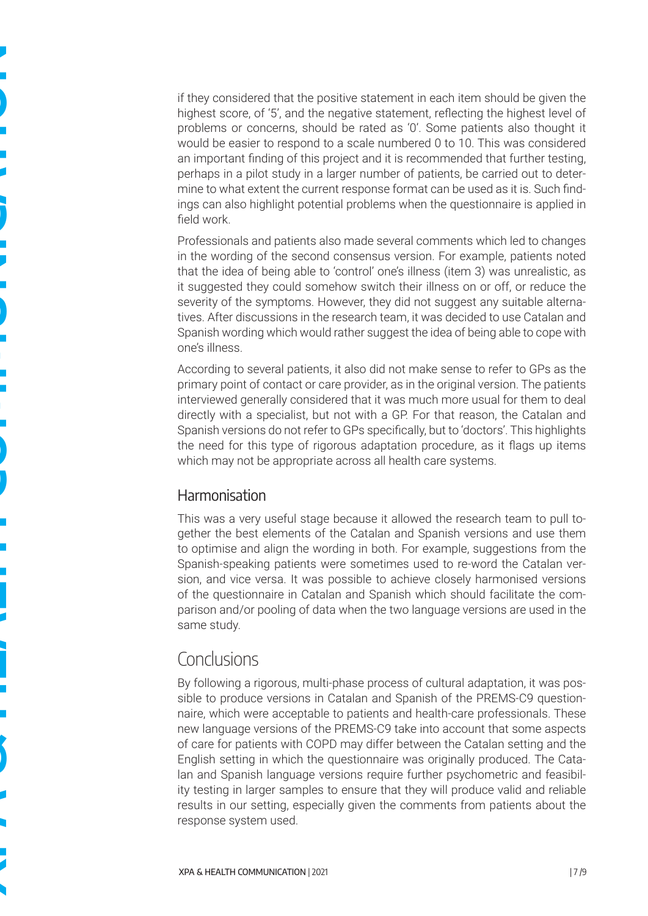if they considered that the positive statement in each item should be given the highest score, of '5', and the negative statement, reflecting the highest level of problems or concerns, should be rated as '0'. Some patients also thought it would be easier to respond to a scale numbered 0 to 10. This was considered an important finding of this project and it is recommended that further testing, perhaps in a pilot study in a larger number of patients, be carried out to determine to what extent the current response format can be used as it is. Such findings can also highlight potential problems when the questionnaire is applied in field work.

Professionals and patients also made several comments which led to changes in the wording of the second consensus version. For example, patients noted that the idea of being able to 'control' one's illness (item 3) was unrealistic, as it suggested they could somehow switch their illness on or off, or reduce the severity of the symptoms. However, they did not suggest any suitable alternatives. After discussions in the research team, it was decided to use Catalan and Spanish wording which would rather suggest the idea of being able to cope with one's illness.

According to several patients, it also did not make sense to refer to GPs as the primary point of contact or care provider, as in the original version. The patients interviewed generally considered that it was much more usual for them to deal directly with a specialist, but not with a GP. For that reason, the Catalan and Spanish versions do not refer to GPs specifically, but to 'doctors'. This highlights the need for this type of rigorous adaptation procedure, as it flags up items which may not be appropriate across all health care systems.

#### **Harmonisation**

This was a very useful stage because it allowed the research team to pull together the best elements of the Catalan and Spanish versions and use them to optimise and align the wording in both. For example, suggestions from the Spanish-speaking patients were sometimes used to re-word the Catalan version, and vice versa. It was possible to achieve closely harmonised versions of the questionnaire in Catalan and Spanish which should facilitate the comparison and/or pooling of data when the two language versions are used in the same study.

## Conclusions

By following a rigorous, multi-phase process of cultural adaptation, it was possible to produce versions in Catalan and Spanish of the PREMS-C9 questionnaire, which were acceptable to patients and health-care professionals. These new language versions of the PREMS-C9 take into account that some aspects of care for patients with COPD may differ between the Catalan setting and the English setting in which the questionnaire was originally produced. The Catalan and Spanish language versions require further psychometric and feasibility testing in larger samples to ensure that they will produce valid and reliable results in our setting, especially given the comments from patients about the response system used.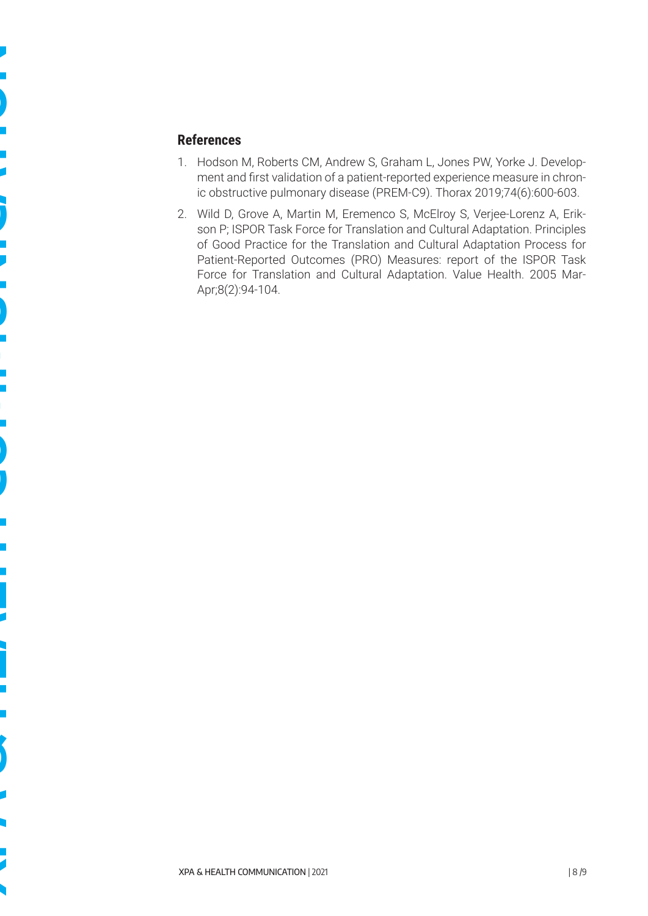#### **References**

- 1. Hodson M, Roberts CM, Andrew S, Graham L, Jones PW, Yorke J. Development and first validation of a patient-reported experience measure in chronic obstructive pulmonary disease (PREM-C9). Thorax 2019;74(6):600-603.
- 2. Wild D, Grove A, Martin M, Eremenco S, McElroy S, Verjee-Lorenz A, Erikson P; ISPOR Task Force for Translation and Cultural Adaptation. Principles of Good Practice for the Translation and Cultural Adaptation Process for Patient-Reported Outcomes (PRO) Measures: report of the ISPOR Task Force for Translation and Cultural Adaptation. Value Health. 2005 Mar-Apr;8(2):94-104.